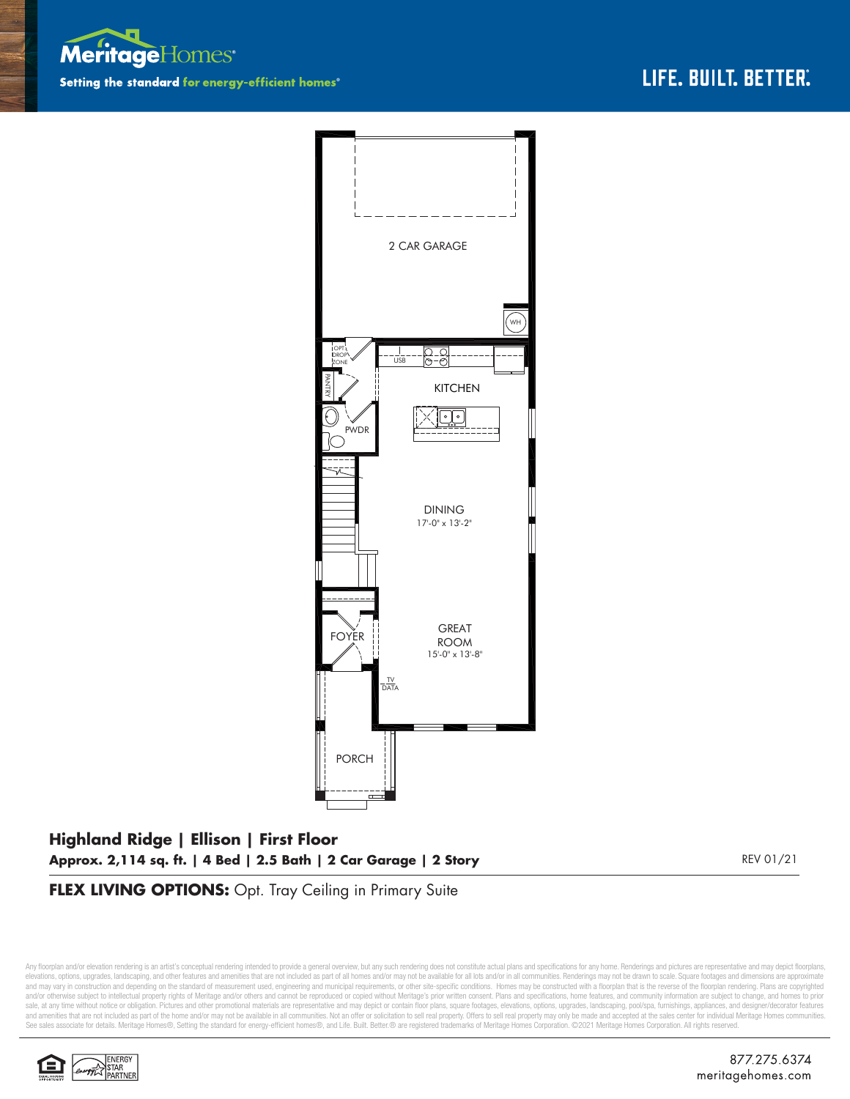



## **Highland Ridge | Ellison | First Floor Approx. 2,114 sq. ft. | 4 Bed | 2.5 Bath | 2 Car Garage | 2 Story** REV 01/21

**FLEX LIVING OPTIONS:** Opt. Tray Ceiling in Primary Suite

Any floorplan and/or elevation rendering is an artist's conceptual rendering intended to provide a general overview, but any such rendering does not constitute actual plans and specifications for any home. Renderings and p elevations, options, upgrades, landscaping, and other features and amenities that are not included as part of all homes and/or may not be available for all lots and/or in all communities. Renderings may not be drawn to sca and may vary in construction and depending on the standard of measurement used, engineering and municipal requirements, or other site-specific conditions. Homes may be constructed with a floorplan that is the reverse of th and/or otherwise subject to intellectual property rights of Meritage and/or others and cannot be reproduced or copied without Meritage's prior written consent. Plans and specifications, home features, and community informa sale, at any time without notice or obligation. Pictures and other promotional materials are representative and may depict or contain floor plans, square footages, elevations, options, upgrades, landscaping, pool/spa, furn See sales associate for details. Meritage Homes®, Setting the standard for energy-efficient homes®, and Life. Built. Better. @ are registered trademarks of Meritage Homes Corporation. ©2021 Meritage Homes Corporation. All